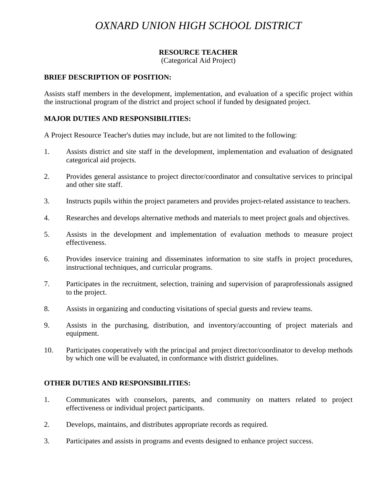# *OXNARD UNION HIGH SCHOOL DISTRICT*

# **RESOURCE TEACHER**

(Categorical Aid Project)

#### **BRIEF DESCRIPTION OF POSITION:**

Assists staff members in the development, implementation, and evaluation of a specific project within the instructional program of the district and project school if funded by designated project.

### **MAJOR DUTIES AND RESPONSIBILITIES:**

A Project Resource Teacher's duties may include, but are not limited to the following:

- 1. Assists district and site staff in the development, implementation and evaluation of designated categorical aid projects.
- 2. Provides general assistance to project director/coordinator and consultative services to principal and other site staff.
- 3. Instructs pupils within the project parameters and provides project-related assistance to teachers.
- 4. Researches and develops alternative methods and materials to meet project goals and objectives.
- 5. Assists in the development and implementation of evaluation methods to measure project effectiveness.
- 6. Provides inservice training and disseminates information to site staffs in project procedures, instructional techniques, and curricular programs.
- 7. Participates in the recruitment, selection, training and supervision of paraprofessionals assigned to the project.
- 8. Assists in organizing and conducting visitations of special guests and review teams.
- 9. Assists in the purchasing, distribution, and inventory/accounting of project materials and equipment.
- 10. Participates cooperatively with the principal and project director/coordinator to develop methods by which one will be evaluated, in conformance with district guidelines.

#### **OTHER DUTIES AND RESPONSIBILITIES:**

- 1. Communicates with counselors, parents, and community on matters related to project effectiveness or individual project participants.
- 2. Develops, maintains, and distributes appropriate records as required.
- 3. Participates and assists in programs and events designed to enhance project success.